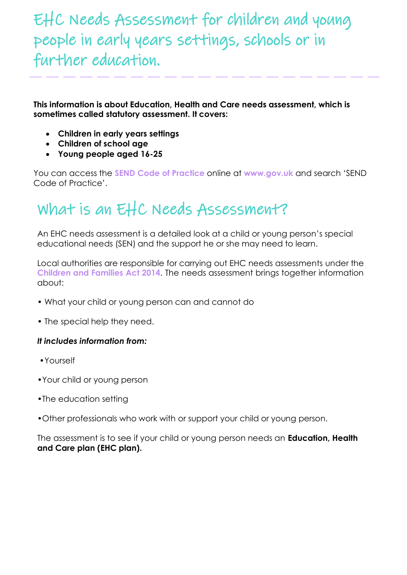## EHC Needs Assessment for children and young people in early years settings, schools or in further education.

**This information is about Education, Health and Care needs assessment, which is sometimes called statutory assessment. It covers:**

- **Children in early years settings**
- **Children of school age**
- **Young people aged 16-25**

You can access the **SEND Code of Practice** online at **[www.gov.uk](http://www.gov.uk/)** and search 'SEND Code of Practice'.

## What is an EHC Needs Assessment?

An EHC needs assessment is a detailed look at a child or young person's special educational needs (SEN) and the support he or she may need to learn.

Local authorities are responsible for carrying out EHC needs assessments under the **Children and Families Act 2014**. The needs assessment brings together information about:

- What your child or young person can and cannot do
- The special help they need.

#### *It includes information from:*

- •Yourself
- •Your child or young person
- •The education setting
- •Other professionals who work with or support your child or young person.

The assessment is to see if your child or young person needs an **Education, Health and Care plan (EHC plan).**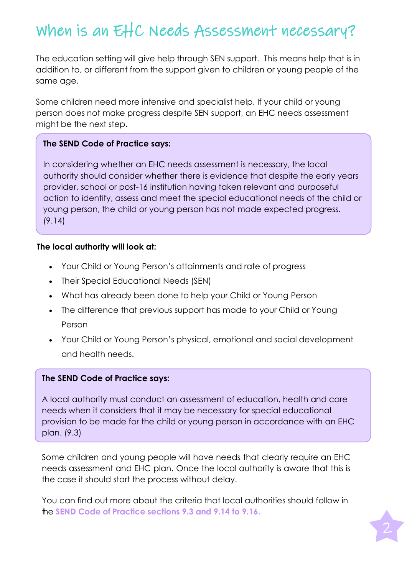# When is an EHC Needs Assessment necessary?

The education setting will give help through SEN support. This means help that is in addition to, or different from the support given to children or young people of the same age.

Some children need more intensive and specialist help. If your child or young person does not make progress despite SEN support, an EHC needs assessment might be the next step.

#### **The SEND Code of Practice says:**

In considering whether an EHC needs assessment is necessary, the local authority should consider whether there is evidence that despite the early years provider, school or post-16 institution having taken relevant and purposeful action to identify, assess and meet the special educational needs of the child or young person, the child or young person has not made expected progress. (9.14)

#### **The local authority will look at:**

- Your Child or Young Person's attainments and rate of progress
- Their Special Educational Needs (SEN)
- What has already been done to help your Child or Young Person
- The difference that previous support has made to your Child or Young Person
- Your Child or Young Person's physical, emotional and social development and health needs.

#### **The SEND Code of Practice says:**

A local authority must conduct an assessment of education, health and care needs when it considers that it may be necessary for special educational provision to be made for the child or young person in accordance with an EHC plan. (9.3)

Some children and young people will have needs that clearly require an EHC needs assessment and EHC plan. Once the local authority is aware that this is the case it should start the process without delay.

You can find out more about the criteria that local authorities should follow in **he SEND Code of Practice sections 9.3 and 9.14 to 9.16.**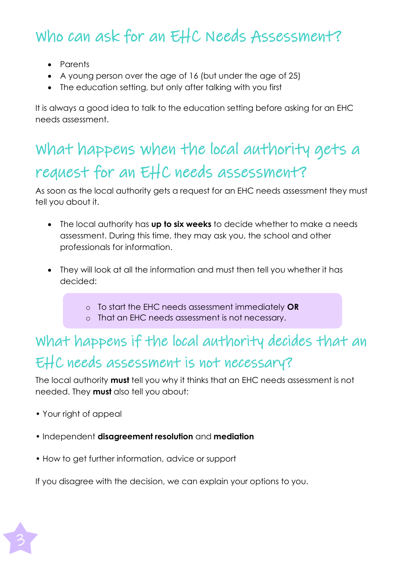# Who can ask for an EHC Needs Assessment?

- Parents
- A young person over the age of 16 (but under the age of 25)
- The education setting, but only after talking with you first

It is always a good idea to talk to the education setting before asking for an EHC needs assessment.

# What happens when the local authority gets a request for an EHC needs assessment?

As soon as the local authority gets a request for an EHC needs assessment they must tell you about it.

- The local authority has **up to six weeks** to decide whether to make a needs assessment. During this time, they may ask you, the school and other professionals for information.
- They will look at all the information and must then tell you whether it has decided:
	- o To start the EHC needs assessment immediately **OR**
	- o That an EHC needs assessment is not necessary.

## What happens if the local authority decides that an EHC needs assessment is not necessary?

The local authority **must** tell you why it thinks that an EHC needs assessment is not needed. They **must** also tell you about:

- Your right of appeal
- Independent **disagreement resolution** and **mediation**
- How to get further information, advice or support

If you disagree with the decision, we can explain your options to you.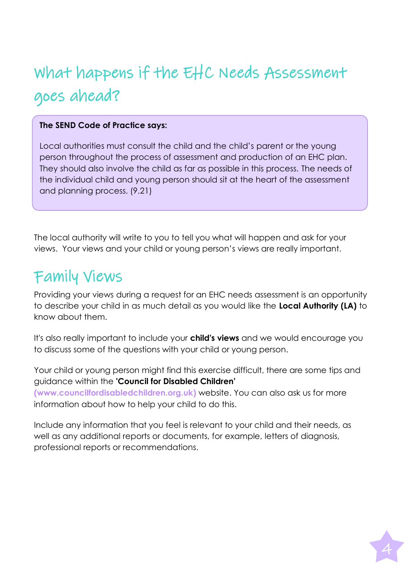# What happens if the EHC Needs Assessment goes ahead?

### **The SEND Code of Practice says:**

Local authorities must consult the child and the child's parent or the young person throughout the process of assessment and production of an EHC plan. They should also involve the child as far as possible in this process. The needs of the individual child and young person should sit at the heart of the assessment and planning process. (9.21)

The local authority will write to you to tell you what will happen and ask for your views. Your views and your child or young person's views are really important.

## Family Views

Providing your views during a request for an EHC needs assessment is an opportunity to describe your child in as much detail as you would like the **Local Authority (LA)** to know about them.

It's also really important to include your **child's views** and we would encourage you to discuss some of the questions with your child or young person.

Your child or young person might find this exercise difficult, there are some tips and guidance within the **'Council for Disabled Children' (www.councilfordisabledchildren.org.uk)** website. You can also ask us for more information about how to help your child to do this.

Include any information that you feel is relevant to your child and their needs, as well as any additional reports or documents, for example, letters of diagnosis, professional reports or recommendations.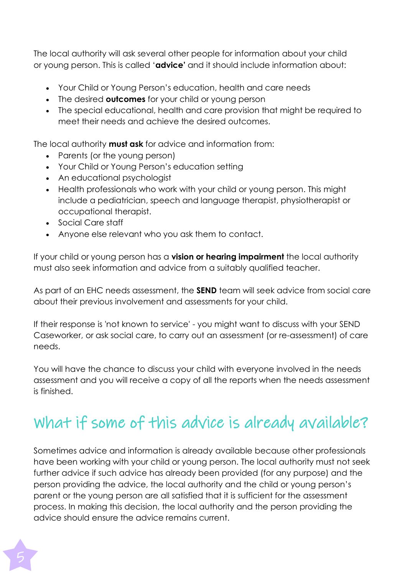The local authority will ask several other people for information about your child or young person. This is called '**advice'** and it should include information about:

- Your Child or Young Person's education, health and care needs
- The desired **outcomes** for your child or young person
- The special educational, health and care provision that might be required to meet their needs and achieve the desired outcomes.

The local authority **must ask** for advice and information from:

- Parents (or the young person)
- Your Child or Young Person's education setting
- An educational psychologist
- Health professionals who work with your child or young person. This might include a pediatrician, speech and language therapist, physiotherapist or occupational therapist.
- Social Care staff
- Anyone else relevant who you ask them to contact.

If your child or young person has a **vision or hearing impairment** the local authority must also seek information and advice from a suitably qualified teacher.

As part of an EHC needs assessment, the **SEND** team will seek advice from social care about their previous involvement and assessments for your child.

If their response is 'not known to service' - you might want to discuss with your SEND Caseworker, or ask social care, to carry out an assessment (or re-assessment) of care needs.

You will have the chance to discuss your child with everyone involved in the needs assessment and you will receive a copy of all the reports when the needs assessment is finished.

# What if some of this advice is already available?

Sometimes advice and information is already available because other professionals have been working with your child or young person. The local authority must not seek further advice if such advice has already been provided (for any purpose) and the person providing the advice, the local authority and the child or young person's parent or the young person are all satisfied that it is sufficient for the assessment process. In making this decision, the local authority and the person providing the advice should ensure the advice remains current.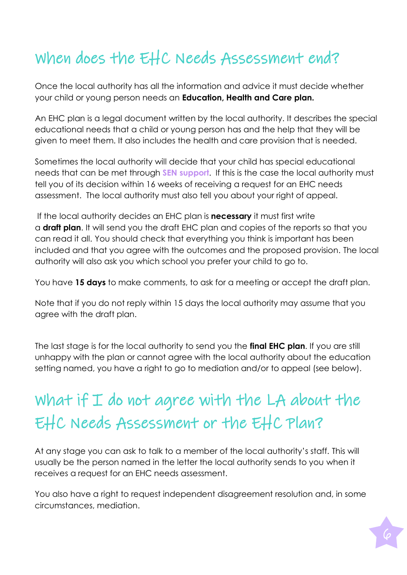# When does the EHC Needs Assessment end?

Once the local authority has all the information and advice it must decide whether your child or young person needs an **Education, Health and Care plan.**

An EHC plan is a legal document written by the local authority. It describes the special educational needs that a child or young person has and the help that they will be given to meet them. It also includes the health and care provision that is needed.

Sometimes the local authority will decide that your child has special educational needs that can be met through **SEN support**. If this is the case the local authority must tell you of its decision within 16 weeks of receiving a request for an EHC needs assessment. The local authority must also tell you about your right of appeal.

If the local authority decides an EHC plan is **necessary** it must first write a **draft plan**. It will send you the draft EHC plan and copies of the reports so that you can read it all. You should check that everything you think is important has been included and that you agree with the outcomes and the proposed provision. The local authority will also ask you which school you prefer your child to go to.

You have **15 days** to make comments, to ask for a meeting or accept the draft plan.

Note that if you do not reply within 15 days the local authority may assume that you agree with the draft plan.

The last stage is for the local authority to send you the **final EHC plan**. If you are still unhappy with the plan or cannot agree with the local authority about the education setting named, you have a right to go to mediation and/or to appeal (see below).

# What if  $I$  do not agree with the LA about the EHC Needs Assessment or the EHC Plan?

At any stage you can ask to talk to a member of the local authority's staff. This will usually be the person named in the letter the local authority sends to you when it receives a request for an EHC needs assessment.

You also have a right to request independent disagreement resolution and, in some circumstances, mediation.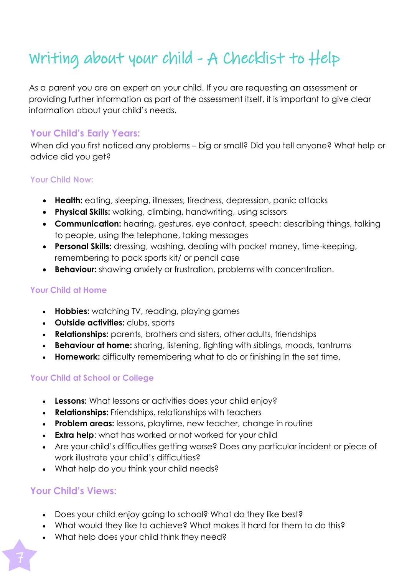# Writing about your child - A Checklist to Help

As a parent you are an expert on your child. If you are requesting an assessment or providing further information as part of the assessment itself, it is important to give clear information about your child's needs.

### **Your Child's Early Years:**

When did you first noticed any problems – big or small? Did you tell anyone? What help or advice did you get?

### **Your Child Now:**

- **Health:** eating, sleeping, illnesses, tiredness, depression, panic attacks
- **Physical Skills:** walking, climbing, handwriting, using scissors
- **Communication:** hearing, gestures, eye contact, speech: describing things, talking to people, using the telephone, taking messages
- **Personal Skills:** dressing, washing, dealing with pocket money, time-keeping, remembering to pack sports kit/ or pencil case
- **Behaviour:** showing anxiety or frustration, problems with concentration.

### **Your Child at Home**

- **Hobbies:** watching TV, reading, playing games
- **Outside activities:** clubs, sports
- **Relationships:** parents, brothers and sisters, other adults, friendships
- **Behaviour at home:** sharing, listening, fighting with siblings, moods, tantrums
- **Homework:** difficulty remembering what to do or finishing in the set time.

### **Your Child at School or College**

- **Lessons:** What lessons or activities does your child enjoy?
- **Relationships:** Friendships, relationships with teachers
- **Problem areas:** lessons, playtime, new teacher, change in routine
- **Extra help:** what has worked or not worked for your child
- Are your child's difficulties getting worse? Does any particular incident or piece of work illustrate your child's difficulties?
- What help do you think your child needs?

### **Your Child's Views:**

- Does your child enjoy going to school? What do they like best?
- What would they like to achieve? What makes it hard for them to do this?
- What help does your child think they need?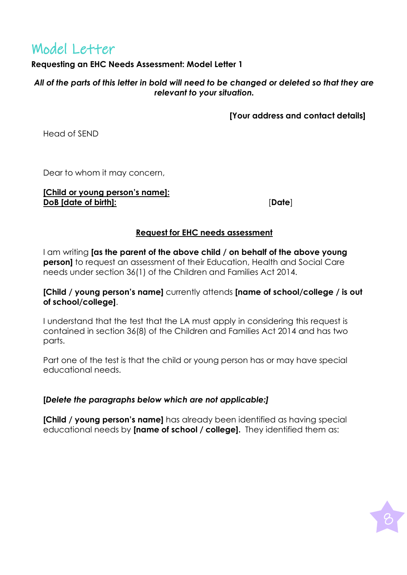### Model Letter

### **Requesting an EHC Needs Assessment: Model Letter 1**

*All of the parts of this letter in bold will need to be changed or deleted so that they are relevant to your situation.*

**[Your address and contact details]**

Head of SEND

Dear to whom it may concern,

#### **[Child or young person's name]: DoB [date of birth]:**

[**Date**]

### **Request for EHC needs assessment**

I am writing **[as the parent of the above child / on behalf of the above young person]** to request an assessment of their Education, Health and Social Care needs under section 36(1) of the Children and Families Act 2014.

#### **[Child / young person's name]** currently attends **[name of school/college / is out of school/college]**.

I understand that the test that the LA must apply in considering this request is contained in section 36(8) of the Children and Families Act 2014 and has two parts.

Part one of the test is that the child or young person has or may have special educational needs.

### **[***Delete the paragraphs below which are not applicable:]*

**[Child / young person's name]** has already been identified as having special educational needs by **[name of school / college].** They identified them as: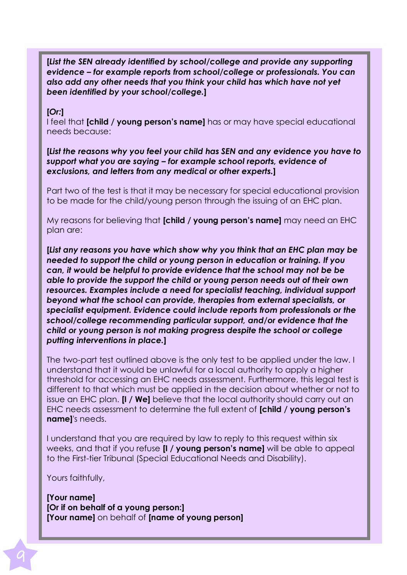**[***List the SEN already identified by school/college and provide any supporting evidence – for example reports from school/college or professionals. You can also add any other needs that you think your child has which have not yet been identified by your school/college.***]**

#### **[***Or:***]**

I feel that **[child / young person's name]** has or may have special educational needs because:

**[***List the reasons why you feel your child has SEN and any evidence you have to support what you are saying – for example school reports, evidence of exclusions, and letters from any medical or other experts.***]**

Part two of the test is that it may be necessary for special educational provision to be made for the child/young person through the issuing of an EHC plan.

My reasons for believing that **[child / young person's name]** may need an EHC plan are:

**[***List any reasons you have which show why you think that an EHC plan may be needed to support the child or young person in education or training. If you can, it would be helpful to provide evidence that the school may not be be able to provide the support the child or young person needs out of their own resources. Examples include a need for specialist teaching, individual support beyond what the school can provide, therapies from external specialists, or specialist equipment. Evidence could include reports from professionals or the school/college recommending particular support, and/or evidence that the child or young person is not making progress despite the school or college putting interventions in place.***]**

The two-part test outlined above is the only test to be applied under the law. I understand that it would be unlawful for a local authority to apply a higher threshold for accessing an EHC needs assessment. Furthermore, this legal test is different to that which must be applied in the decision about whether or not to issue an EHC plan. **[I / We]** believe that the local authority should carry out an EHC needs assessment to determine the full extent of **[child / young person's name]**'s needs.

I understand that you are required by law to reply to this request within six weeks, and that if you refuse **[I / young person's name]** will be able to appeal to the First-tier Tribunal (Special Educational Needs and Disability).

Yours faithfully,

**[Your name] [Or if on behalf of a young person:] [Your name]** on behalf of **[name of young person]**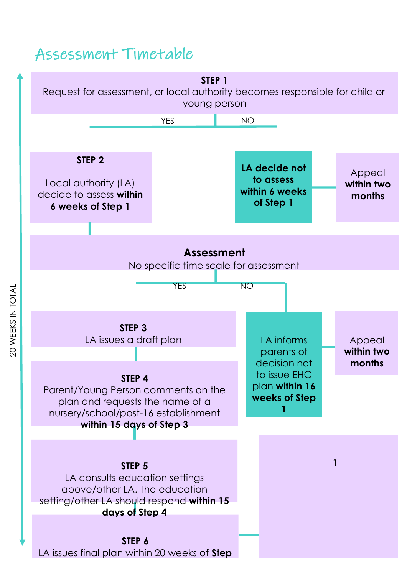### Assessment Timetable



20 WEEKS IN TOTAL 20 WEEKS IN TOTAL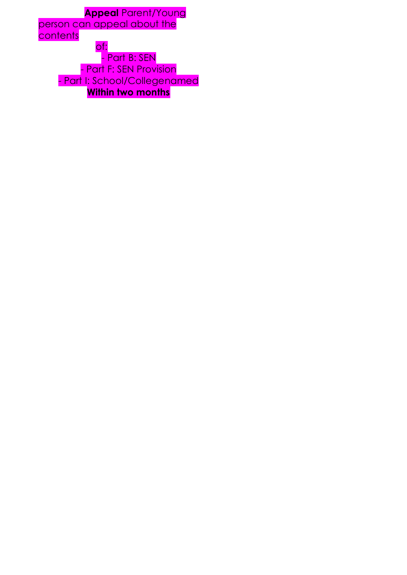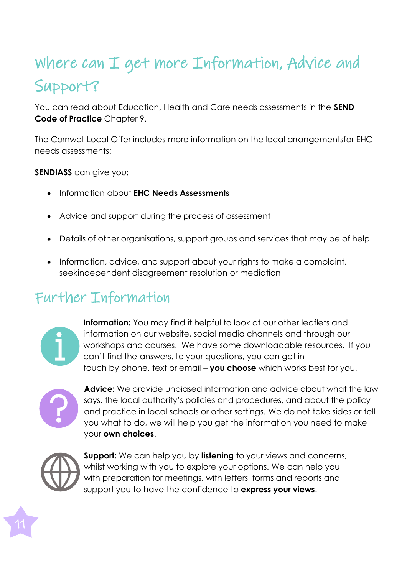# Where can I get more Information, Advice and Support?

You can read about Education, Health and Care needs assessments in the **SEND Code of Practice** Chapter 9.

The Cornwall Local Offer includes more information on the local arrangementsfor EHC needs assessments:

**SENDIASS** can give you:

- Information about **EHC Needs Assessments**
- Advice and support during the process of assessment
- Details of other organisations, support groups and services that may be of help
- Information, advice, and support about your rights to make a complaint, seekindependent disagreement resolution or mediation

## Further Information



**Information:** You may find it helpful to look at our other leaflets and information on our website, social media channels and through our workshops and courses. We have some downloadable resources. If you can't find the answers. to your questions, you can get in touch by phone, text or email – **you choose** which works best for you.



**Advice:** We provide unbiased information and advice about what the law says, the local authority's policies and procedures, and about the policy and practice in local schools or other settings. We do not take sides or tell you what to do, we will help you get the information you need to make your **own choices**.



**Support:** We can help you by **listening** to your views and concerns, whilst working with you to explore your options. We can help you with preparation for meetings, with letters, forms and reports and support you to have the confidence to **express your views**.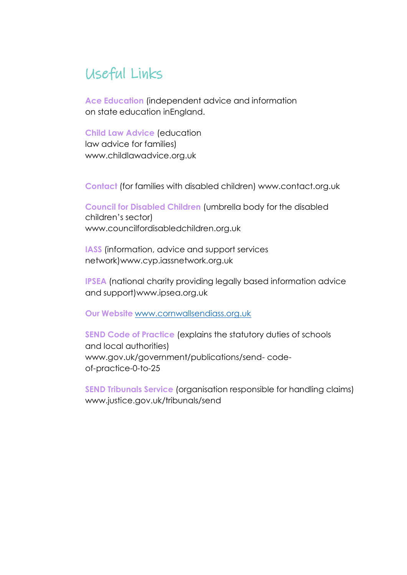### Useful Links

**Ace Education** (independent advice and information on state education inEngland.

**Child Law Advice** (education law advice for families) [www.childlawadvice.org.uk](http://www.childlawadvice.org.uk/)

**Contact** (for families with disabled children) [www.contact.org.uk](http://www.contact.org.uk/)

**Council for Disabled Children** (umbrella body for the disabled children's sector) [www.councilfordisabledchildren.org.uk](http://www.councilfordisabledchildren.org.uk/)

**IASS** (information, advice and support services network[\)www.cyp.iassnetwork.org.uk](http://www.cyp.iassnetwork.org.uk/)

**IPSEA** (national charity providing legally based information advice and support[\)www.ipsea.org.uk](http://www.ipsea.org.uk/)

**Our Website** [www.cornwallsendiass.org.uk](http://www.cornwallsendiass.org.uk/)

**SEND Code of Practice** (explains the statutory duties of schools and local authorities) [www.gov.uk/government/publications/send-](http://www.gov.uk/government/publications/send-) codeof-practice-0-to-25

**SEND Tribunals Service** (organisation responsible for handling claims) [www.justice.gov.uk/tribunals/send](http://www.justice.gov.uk/tribunals/send)